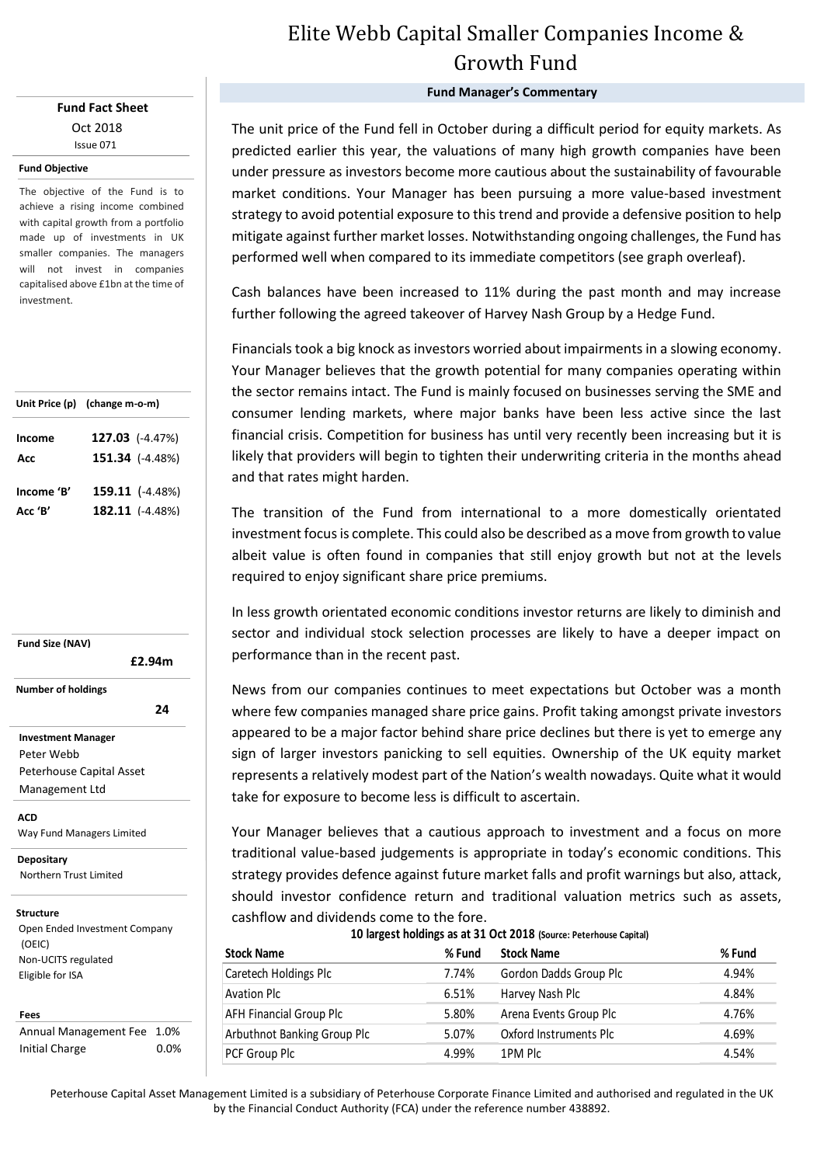## **Fund Fact Sheet** Oct 2018 Issue 071

### **Fund Objective**

The objective of the Fund is to achieve a rising income combined with capital growth from a portfolio made up of investments in UK smaller companies. The managers will not invest in companies capitalised above £1bn at the time of investment.

|            | Unit Price (p) (change m-o-m) |  |  |  |
|------------|-------------------------------|--|--|--|
| Income     | 127.03 (-4.47%)               |  |  |  |
| Acc        | 151.34 (-4.48%)               |  |  |  |
| Income 'B' | 159.11 (-4.48%)               |  |  |  |
|            |                               |  |  |  |
| Acc 'B'    | $182.11$ (-4.48%)             |  |  |  |

**Fund Size (NAV) Investment Manager** Peter Webb  **£2.94m Number of holdings 24 24** 

Peterhouse Capital Asset Management Ltd

**ACD** Way Fund Managers Limited

<u>Fund Partners Limited Barnet Barnet Barnet Barnet Barnet Barnet Barnet Barnet Barnet Barnet Barnet Barnet Barn</u> **Depositary** Northern Trust Limited

### **Structure**

Open Ended Investment Company (OEIC) Non-UCITS regulated Eligible for ISA

#### **Fees**

Annual Management Fee 1.0% Initial Charge 0.0%

# Elite Webb Capital Smaller Companies Income & Growth Fund

## **Fund Manager's Commentary**

The unit price of the Fund fell in October during a difficult period for equity markets. As predicted earlier this year, the valuations of many high growth companies have been under pressure as investors become more cautious about the sustainability of favourable market conditions. Your Manager has been pursuing a more value-based investment strategy to avoid potential exposure to this trend and provide a defensive position to help mitigate against further market losses. Notwithstanding ongoing challenges, the Fund has performed well when compared to its immediate competitors (see graph overleaf).

Cash balances have been increased to 11% during the past month and may increase further following the agreed takeover of Harvey Nash Group by a Hedge Fund.

Financials took a big knock as investors worried about impairments in a slowing economy. Your Manager believes that the growth potential for many companies operating within the sector remains intact. The Fund is mainly focused on businesses serving the SME and consumer lending markets, where major banks have been less active since the last financial crisis. Competition for business has until very recently been increasing but it is likely that providers will begin to tighten their underwriting criteria in the months ahead and that rates might harden.

The transition of the Fund from international to a more domestically orientated investment focus is complete. This could also be described as a move from growth to value albeit value is often found in companies that still enjoy growth but not at the levels required to enjoy significant share price premiums.

In less growth orientated economic conditions investor returns are likely to diminish and sector and individual stock selection processes are likely to have a deeper impact on performance than in the recent past.

News from our companies continues to meet expectations but October was a month where few companies managed share price gains. Profit taking amongst private investors appeared to be a major factor behind share price declines but there is yet to emerge any sign of larger investors panicking to sell equities. Ownership of the UK equity market represents a relatively modest part of the Nation's wealth nowadays. Quite what it would take for exposure to become less is difficult to ascertain.

Your Manager believes that a cautious approach to investment and a focus on more traditional value-based judgements is appropriate in today's economic conditions. This strategy provides defence against future market falls and profit warnings but also, attack, should investor confidence return and traditional valuation metrics such as assets, cashflow and dividends come to the fore.

| TO TRIBEST HORIHIRS AS AT ST OCT 2010 (SOUTC: PETENNAISE CAPITAL) |        |                        |        |  |  |  |  |
|-------------------------------------------------------------------|--------|------------------------|--------|--|--|--|--|
| <b>Stock Name</b>                                                 | % Fund | <b>Stock Name</b>      | % Fund |  |  |  |  |
| Caretech Holdings Plc                                             | 7.74%  | Gordon Dadds Group Plc | 4.94%  |  |  |  |  |
| <b>Avation Plc</b>                                                | 6.51%  | Harvey Nash Plc        | 4.84%  |  |  |  |  |
| AFH Financial Group Plc                                           | 5.80%  | Arena Events Group Plc | 4.76%  |  |  |  |  |
| <b>Arbuthnot Banking Group Plc</b>                                | 5.07%  | Oxford Instruments Plc | 4.69%  |  |  |  |  |
| PCF Group Plc                                                     | 4.99%  | 1PM Plc                | 4.54%  |  |  |  |  |
|                                                                   |        |                        |        |  |  |  |  |

**10 largest holdings as at 31 Oct 2018 (Source: Peterhouse Capital)**

Peterhouse Capital Asset Management Limited is a subsidiary of Peterhouse Corporate Finance Limited and authorised and regulated in the UK by the Financial Conduct Authority (FCA) under the reference number 438892.